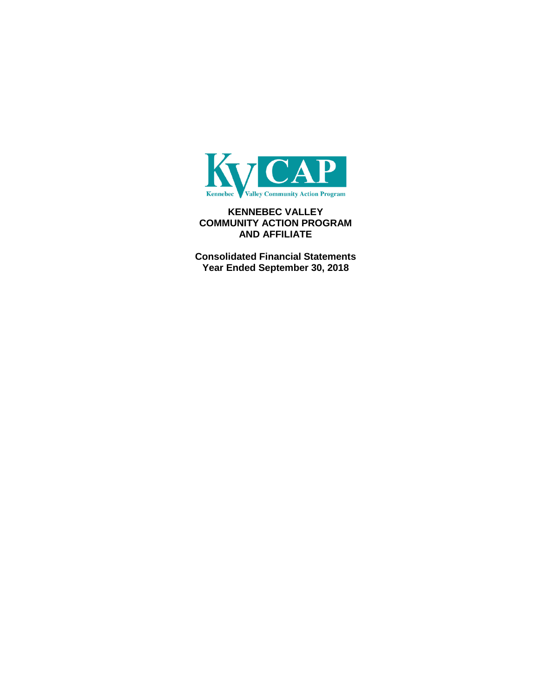

**KENNEBEC VALLEY COMMUNITY ACTION PROGRAM AND AFFILIATE**

**Consolidated Financial Statements Year Ended September 30, 2018**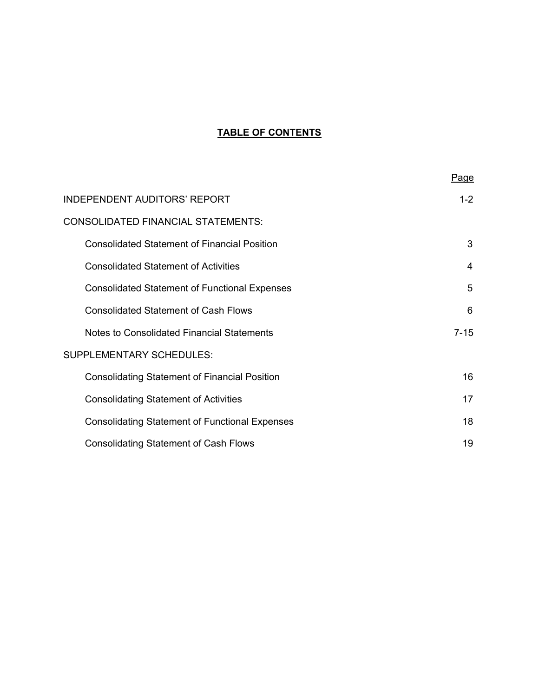# **TABLE OF CONTENTS**

|                                                       | Page     |
|-------------------------------------------------------|----------|
| <b>INDEPENDENT AUDITORS' REPORT</b>                   | $1 - 2$  |
| <b>CONSOLIDATED FINANCIAL STATEMENTS:</b>             |          |
| <b>Consolidated Statement of Financial Position</b>   | 3        |
| <b>Consolidated Statement of Activities</b>           | 4        |
| <b>Consolidated Statement of Functional Expenses</b>  | 5        |
| <b>Consolidated Statement of Cash Flows</b>           | 6        |
| Notes to Consolidated Financial Statements            | $7 - 15$ |
| <b>SUPPLEMENTARY SCHEDULES:</b>                       |          |
| <b>Consolidating Statement of Financial Position</b>  | 16       |
| <b>Consolidating Statement of Activities</b>          | 17       |
| <b>Consolidating Statement of Functional Expenses</b> | 18       |
| <b>Consolidating Statement of Cash Flows</b>          | 19       |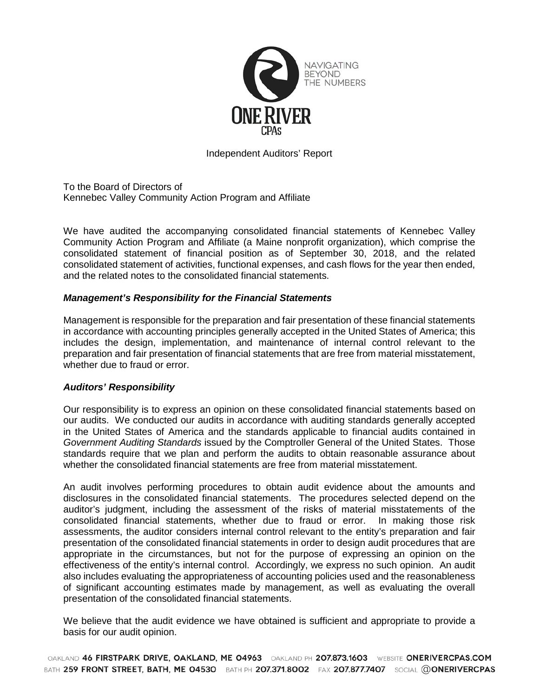

Independent Auditors' Report

To the Board of Directors of Kennebec Valley Community Action Program and Affiliate

We have audited the accompanying consolidated financial statements of Kennebec Valley Community Action Program and Affiliate (a Maine nonprofit organization), which comprise the consolidated statement of financial position as of September 30, 2018, and the related consolidated statement of activities, functional expenses, and cash flows for the year then ended, and the related notes to the consolidated financial statements.

#### *Management's Responsibility for the Financial Statements*

Management is responsible for the preparation and fair presentation of these financial statements in accordance with accounting principles generally accepted in the United States of America; this includes the design, implementation, and maintenance of internal control relevant to the preparation and fair presentation of financial statements that are free from material misstatement, whether due to fraud or error.

#### *Auditors' Responsibility*

Our responsibility is to express an opinion on these consolidated financial statements based on our audits. We conducted our audits in accordance with auditing standards generally accepted in the United States of America and the standards applicable to financial audits contained in *Government Auditing Standards* issued by the Comptroller General of the United States. Those standards require that we plan and perform the audits to obtain reasonable assurance about whether the consolidated financial statements are free from material misstatement.

An audit involves performing procedures to obtain audit evidence about the amounts and disclosures in the consolidated financial statements. The procedures selected depend on the auditor's judgment, including the assessment of the risks of material misstatements of the consolidated financial statements, whether due to fraud or error. In making those risk assessments, the auditor considers internal control relevant to the entity's preparation and fair presentation of the consolidated financial statements in order to design audit procedures that are appropriate in the circumstances, but not for the purpose of expressing an opinion on the effectiveness of the entity's internal control. Accordingly, we express no such opinion. An audit also includes evaluating the appropriateness of accounting policies used and the reasonableness of significant accounting estimates made by management, as well as evaluating the overall presentation of the consolidated financial statements.

We believe that the audit evidence we have obtained is sufficient and appropriate to provide a basis for our audit opinion.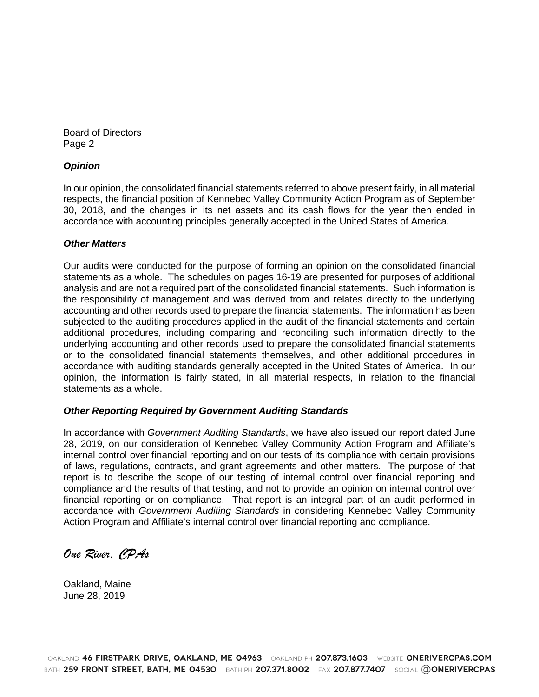Board of Directors Page 2

#### *Opinion*

In our opinion, the consolidated financial statements referred to above present fairly, in all material respects, the financial position of Kennebec Valley Community Action Program as of September 30, 2018, and the changes in its net assets and its cash flows for the year then ended in accordance with accounting principles generally accepted in the United States of America.

#### *Other Matters*

Our audits were conducted for the purpose of forming an opinion on the consolidated financial statements as a whole. The schedules on pages 16-19 are presented for purposes of additional analysis and are not a required part of the consolidated financial statements. Such information is the responsibility of management and was derived from and relates directly to the underlying accounting and other records used to prepare the financial statements. The information has been subjected to the auditing procedures applied in the audit of the financial statements and certain additional procedures, including comparing and reconciling such information directly to the underlying accounting and other records used to prepare the consolidated financial statements or to the consolidated financial statements themselves, and other additional procedures in accordance with auditing standards generally accepted in the United States of America. In our opinion, the information is fairly stated, in all material respects, in relation to the financial statements as a whole.

#### *Other Reporting Required by Government Auditing Standards*

In accordance with *Government Auditing Standards*, we have also issued our report dated June 28, 2019, on our consideration of Kennebec Valley Community Action Program and Affiliate's internal control over financial reporting and on our tests of its compliance with certain provisions of laws, regulations, contracts, and grant agreements and other matters. The purpose of that report is to describe the scope of our testing of internal control over financial reporting and compliance and the results of that testing, and not to provide an opinion on internal control over financial reporting or on compliance. That report is an integral part of an audit performed in accordance with *Government Auditing Standards* in considering Kennebec Valley Community Action Program and Affiliate's internal control over financial reporting and compliance.

*One River, CPAs*

Oakland, Maine June 28, 2019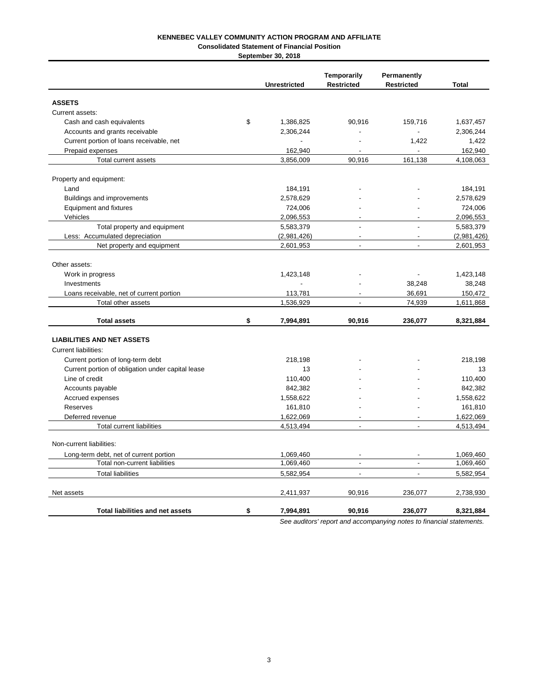#### **KENNEBEC VALLEY COMMUNITY ACTION PROGRAM AND AFFILIATE**

#### **Consolidated Statement of Financial Position September 30, 2018**

|                                                   | <b>Unrestricted</b> | <b>Temporarily</b><br><b>Restricted</b> | Permanently<br><b>Restricted</b> | <b>Total</b> |
|---------------------------------------------------|---------------------|-----------------------------------------|----------------------------------|--------------|
| <b>ASSETS</b>                                     |                     |                                         |                                  |              |
| Current assets:                                   |                     |                                         |                                  |              |
| Cash and cash equivalents                         | \$<br>1,386,825     | 90,916                                  | 159,716                          | 1,637,457    |
| Accounts and grants receivable                    | 2,306,244           |                                         |                                  | 2,306,244    |
| Current portion of loans receivable, net          | $\blacksquare$      |                                         | 1,422                            | 1,422        |
| Prepaid expenses                                  | 162,940             |                                         |                                  | 162,940      |
| Total current assets                              | 3,856,009           | 90,916                                  | 161,138                          | 4,108,063    |
| Property and equipment:                           |                     |                                         |                                  |              |
| Land                                              | 184,191             |                                         |                                  | 184,191      |
| Buildings and improvements                        | 2,578,629           |                                         |                                  | 2,578,629    |
| Equipment and fixtures                            | 724,006             |                                         |                                  | 724,006      |
| Vehicles                                          | 2,096,553           |                                         |                                  | 2,096,553    |
| Total property and equipment                      | 5,583,379           |                                         |                                  | 5,583,379    |
| Less: Accumulated depreciation                    | (2,981,426)         |                                         |                                  | (2,981,426)  |
| Net property and equipment                        | 2,601,953           |                                         |                                  | 2,601,953    |
| Other assets:                                     |                     |                                         |                                  |              |
| Work in progress                                  | 1,423,148           |                                         |                                  | 1,423,148    |
| Investments                                       |                     |                                         | 38,248                           | 38,248       |
| Loans receivable, net of current portion          | 113,781             |                                         | 36,691                           | 150,472      |
| Total other assets                                | 1,536,929           | $\overline{a}$                          | 74,939                           | 1,611,868    |
| <b>Total assets</b>                               | \$<br>7,994,891     | 90,916                                  | 236,077                          | 8,321,884    |
| <b>LIABILITIES AND NET ASSETS</b>                 |                     |                                         |                                  |              |
| <b>Current liabilities:</b>                       |                     |                                         |                                  |              |
| Current portion of long-term debt                 | 218,198             |                                         |                                  | 218,198      |
| Current portion of obligation under capital lease | 13                  |                                         |                                  | 13           |
| Line of credit                                    | 110,400             |                                         |                                  | 110,400      |
| Accounts payable                                  | 842,382             |                                         |                                  | 842,382      |
| Accrued expenses                                  | 1,558,622           |                                         |                                  | 1,558,622    |
| Reserves                                          | 161,810             |                                         |                                  | 161,810      |
| Deferred revenue                                  | 1,622,069           |                                         |                                  | 1,622,069    |
| Total current liabilities                         | 4,513,494           | $\mathbb{Z}^+$                          | $\mathbb{Z}^+$                   | 4,513,494    |
| Non-current liabilities:                          |                     |                                         |                                  |              |
| Long-term debt, net of current portion            | 1,069,460           |                                         |                                  | 1,069,460    |
| Total non-current liabilities                     | 1,069,460           | $\overline{\phantom{a}}$                | $\overline{a}$                   | 1,069,460    |
| <b>Total liabilities</b>                          | 5,582,954           | $\blacksquare$                          | $\overline{a}$                   | 5,582,954    |
| Net assets                                        | 2,411,937           | 90,916                                  | 236,077                          | 2,738,930    |
| <b>Total liabilities and net assets</b>           | \$<br>7,994,891     | 90,916                                  | 236,077                          | 8,321,884    |

*See auditors' report and accompanying notes to financial statements.*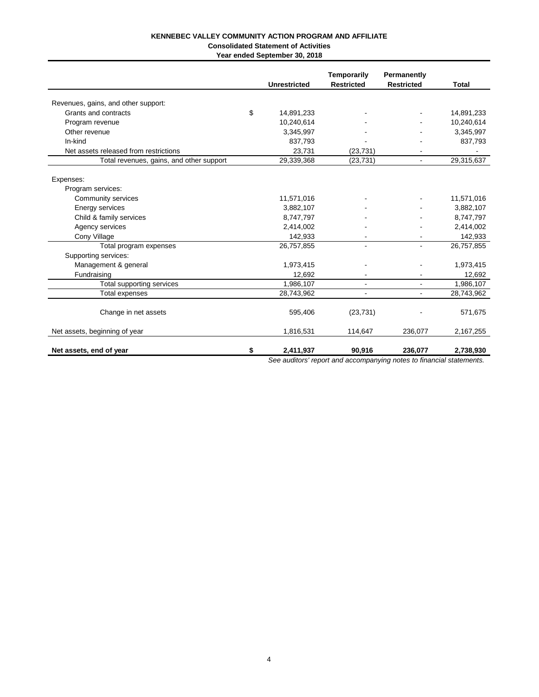#### **KENNEBEC VALLEY COMMUNITY ACTION PROGRAM AND AFFILIATE Consolidated Statement of Activities Year ended September 30, 2018**

|                                          |                     | <b>Temporarily</b> | Permanently                                                          |              |
|------------------------------------------|---------------------|--------------------|----------------------------------------------------------------------|--------------|
|                                          | <b>Unrestricted</b> | <b>Restricted</b>  | <b>Restricted</b>                                                    | <b>Total</b> |
| Revenues, gains, and other support:      |                     |                    |                                                                      |              |
| Grants and contracts                     | \$<br>14,891,233    |                    |                                                                      | 14,891,233   |
| Program revenue                          | 10,240,614          |                    |                                                                      | 10,240,614   |
| Other revenue                            | 3,345,997           |                    |                                                                      | 3,345,997    |
| In-kind                                  | 837,793             |                    |                                                                      | 837,793      |
| Net assets released from restrictions    | 23,731              | (23, 731)          |                                                                      |              |
| Total revenues, gains, and other support | 29,339,368          | (23, 731)          | $\sim$                                                               | 29,315,637   |
| Expenses:                                |                     |                    |                                                                      |              |
| Program services:                        |                     |                    |                                                                      |              |
| Community services                       | 11,571,016          |                    |                                                                      | 11,571,016   |
| Energy services                          | 3,882,107           |                    |                                                                      | 3,882,107    |
| Child & family services                  | 8,747,797           |                    |                                                                      | 8,747,797    |
| Agency services                          | 2,414,002           |                    |                                                                      | 2,414,002    |
| Cony Village                             | 142.933             |                    |                                                                      | 142,933      |
|                                          | 26,757,855          |                    |                                                                      | 26,757,855   |
| Total program expenses                   |                     |                    |                                                                      |              |
| Supporting services:                     |                     |                    |                                                                      |              |
| Management & general                     | 1,973,415           |                    |                                                                      | 1,973,415    |
| Fundraising                              | 12,692              |                    |                                                                      | 12,692       |
| Total supporting services                | 1,986,107           |                    |                                                                      | 1,986,107    |
| Total expenses                           | 28,743,962          |                    |                                                                      | 28,743,962   |
| Change in net assets                     | 595,406             | (23, 731)          |                                                                      | 571,675      |
| Net assets, beginning of year            | 1,816,531           | 114,647            | 236,077                                                              | 2,167,255    |
| Net assets, end of year                  | \$<br>2,411,937     | 90,916             | 236,077                                                              | 2,738,930    |
|                                          |                     |                    | See auditors' report and accompanying notes to financial statements. |              |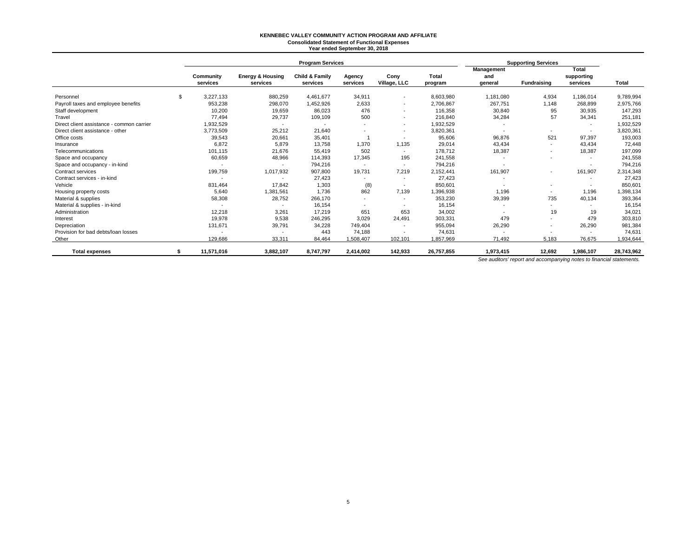#### **Consolidated Statement of Functional Expenses Year ended September 30, 2018 KENNEBEC VALLEY COMMUNITY ACTION PROGRAM AND AFFILIATE**

|                                           |                 |                             | <b>Program Services</b>   |                          |                          |            |                          | <b>Supporting Services</b> |                          |              |
|-------------------------------------------|-----------------|-----------------------------|---------------------------|--------------------------|--------------------------|------------|--------------------------|----------------------------|--------------------------|--------------|
|                                           | Community       | <b>Energy &amp; Housing</b> | <b>Child &amp; Family</b> | Agency                   | Cony                     | Total      | Management<br>and        |                            | Total<br>supporting      |              |
|                                           | services        | services                    | services                  | services                 | Village, LLC             | program    | general                  | <b>Fundraising</b>         | services                 | <b>Total</b> |
| Personnel                                 | \$<br>3.227.133 | 880.259                     | 4.461.677                 | 34,911                   | $\overline{\phantom{a}}$ | 8.603.980  | 1,181,080                | 4.934                      | 1,186,014                | 9,789,994    |
| Payroll taxes and employee benefits       | 953,238         | 298,070                     | 1,452,926                 | 2,633                    | $\overline{\phantom{a}}$ | 2,706,867  | 267,751                  | 1,148                      | 268,899                  | 2,975,766    |
| Staff development                         | 10,200          | 19,659                      | 86,023                    | 476                      | $\overline{\phantom{a}}$ | 116,358    | 30,840                   | 95                         | 30,935                   | 147,293      |
| Travel                                    | 77,494          | 29,737                      | 109,109                   | 500                      |                          | 216,840    | 34,284                   | 57                         | 34,341                   | 251,181      |
| Direct client assistance - common carrier | 1,932,529       | $\overline{\phantom{a}}$    |                           | $\overline{\phantom{a}}$ | $\overline{\phantom{a}}$ | 1,932,529  |                          |                            |                          | 1,932,529    |
| Direct client assistance - other          | 3,773,509       | 25,212                      | 21,640                    |                          | ٠                        | 3,820,361  |                          | $\overline{\phantom{a}}$   |                          | 3,820,361    |
| Office costs                              | 39,543          | 20,661                      | 35.401                    |                          | ٠                        | 95,606     | 96,876                   | 521                        | 97,397                   | 193,003      |
| Insurance                                 | 6,872           | 5,879                       | 13,758                    | 1,370                    | 1,135                    | 29,014     | 43,434                   | $\overline{\phantom{a}}$   | 43,434                   | 72,448       |
| Telecommunications                        | 101,115         | 21,676                      | 55.419                    | 502                      | ٠                        | 178,712    | 18,387                   |                            | 18,387                   | 197,099      |
| Space and occupancy                       | 60,659          | 48,966                      | 114,393                   | 17,345                   | 195                      | 241,558    |                          |                            |                          | 241,558      |
| Space and occupancy - in-kind             |                 |                             | 794.216                   | $\overline{\phantom{a}}$ | ٠                        | 794.216    | $\overline{\phantom{a}}$ |                            | $\overline{\phantom{a}}$ | 794,216      |
| Contract services                         | 199,759         | 1,017,932                   | 907,800                   | 19,731                   | 7,219                    | 2,152,441  | 161,907                  |                            | 161,907                  | 2,314,348    |
| Contract services - in-kind               |                 | $\overline{\phantom{a}}$    | 27,423                    |                          | $\overline{\phantom{a}}$ | 27,423     |                          |                            |                          | 27,423       |
| Vehicle                                   | 831,464         | 17.842                      | 1,303                     | (8)                      |                          | 850,601    |                          |                            |                          | 850,601      |
| Housing property costs                    | 5,640           | 1,381,561                   | 1,736                     | 862                      | 7,139                    | 1,396,938  | 1,196                    | $\overline{\phantom{a}}$   | 1,196                    | 1,398,134    |
| Material & supplies                       | 58,308          | 28,752                      | 266,170                   | $\overline{\phantom{a}}$ | $\overline{\phantom{a}}$ | 353,230    | 39,399                   | 735                        | 40,134                   | 393,364      |
| Material & supplies - in-kind             |                 |                             | 16,154                    |                          |                          | 16,154     |                          | $\overline{\phantom{a}}$   |                          | 16,154       |
| Administration                            | 12,218          | 3,261                       | 17,219                    | 651                      | 653                      | 34,002     |                          | 19                         | 19                       | 34,021       |
| Interest                                  | 19,978          | 9,538                       | 246,295                   | 3.029                    | 24,491                   | 303,331    | 479                      |                            | 479                      | 303,810      |
| Depreciation                              | 131,671         | 39,791                      | 34,228                    | 749,404                  |                          | 955,094    | 26,290                   |                            | 26,290                   | 981,384      |
| Provision for bad debts/loan losses       |                 |                             | 443                       | 74,188                   |                          | 74,631     |                          |                            |                          | 74,631       |
| Other                                     | 129.686         | 33.311                      | 84.464                    | 1.508.407                | 102.101                  | 1.857.969  | 71.492                   | 5.183                      | 76.675                   | ,934,644     |
| <b>Total expenses</b>                     | 11,571,016      | 3,882,107                   | 8,747,797                 | 2,414,002                | 142,933                  | 26,757,855 | 1,973,415<br>$\sim$      | 12,692                     | 1,986,107                | 28,743,962   |

*See auditors' report and accompanying notes to financial statements.*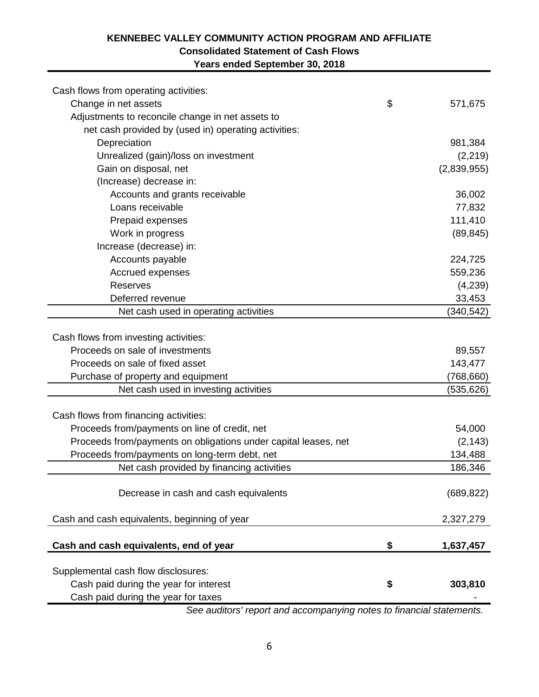# **KENNEBEC VALLEY COMMUNITY ACTION PROGRAM AND AFFILIATE Consolidated Statement of Cash Flows Years ended September 30, 2018**

| Cash flows from operating activities:                           |                 |
|-----------------------------------------------------------------|-----------------|
| Change in net assets                                            | \$<br>571,675   |
| Adjustments to reconcile change in net assets to                |                 |
| net cash provided by (used in) operating activities:            |                 |
| Depreciation                                                    | 981,384         |
| Unrealized (gain)/loss on investment                            | (2,219)         |
| Gain on disposal, net                                           | (2,839,955)     |
| (Increase) decrease in:                                         |                 |
| Accounts and grants receivable                                  | 36,002          |
| Loans receivable                                                | 77,832          |
| Prepaid expenses                                                | 111,410         |
| Work in progress                                                | (89, 845)       |
| Increase (decrease) in:                                         |                 |
| Accounts payable                                                | 224,725         |
| Accrued expenses                                                | 559,236         |
| <b>Reserves</b>                                                 | (4,239)         |
| Deferred revenue                                                | 33,453          |
| Net cash used in operating activities                           | (340,542)       |
|                                                                 |                 |
| Cash flows from investing activities:                           |                 |
| Proceeds on sale of investments                                 | 89,557          |
| Proceeds on sale of fixed asset                                 | 143,477         |
| Purchase of property and equipment                              | (768, 660)      |
| Net cash used in investing activities                           | (535,626)       |
|                                                                 |                 |
| Cash flows from financing activities:                           |                 |
| Proceeds from/payments on line of credit, net                   | 54,000          |
| Proceeds from/payments on obligations under capital leases, net | (2, 143)        |
| Proceeds from/payments on long-term debt, net                   | 134,488         |
| Net cash provided by financing activities                       | 186,346         |
| Decrease in cash and cash equivalents                           | (689, 822)      |
|                                                                 |                 |
| Cash and cash equivalents, beginning of year                    | 2,327,279       |
|                                                                 |                 |
| Cash and cash equivalents, end of year                          | \$<br>1,637,457 |
| Supplemental cash flow disclosures:                             |                 |
| Cash paid during the year for interest                          | \$<br>303,810   |
| Cash paid during the year for taxes                             |                 |

*See auditors' report and accompanying notes to financial statements.*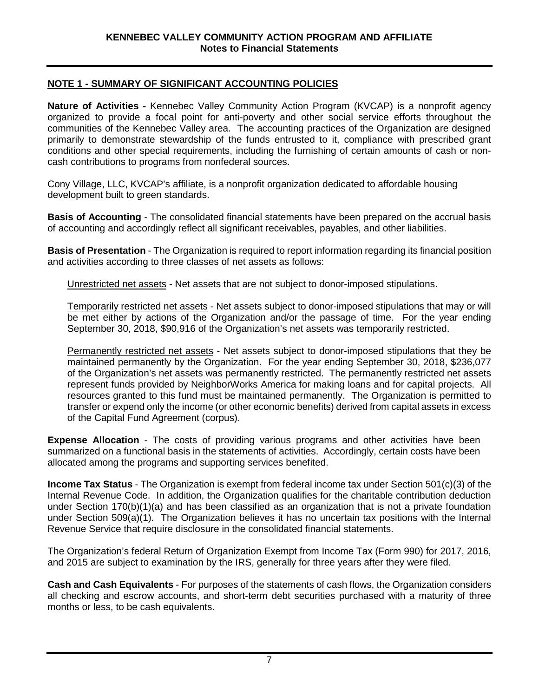# **NOTE 1 - SUMMARY OF SIGNIFICANT ACCOUNTING POLICIES**

**Nature of Activities -** Kennebec Valley Community Action Program (KVCAP) is a nonprofit agency organized to provide a focal point for anti-poverty and other social service efforts throughout the communities of the Kennebec Valley area. The accounting practices of the Organization are designed primarily to demonstrate stewardship of the funds entrusted to it, compliance with prescribed grant conditions and other special requirements, including the furnishing of certain amounts of cash or noncash contributions to programs from nonfederal sources.

Cony Village, LLC, KVCAP's affiliate, is a nonprofit organization dedicated to affordable housing development built to green standards.

**Basis of Accounting** - The consolidated financial statements have been prepared on the accrual basis of accounting and accordingly reflect all significant receivables, payables, and other liabilities.

**Basis of Presentation** - The Organization is required to report information regarding its financial position and activities according to three classes of net assets as follows:

Unrestricted net assets - Net assets that are not subject to donor-imposed stipulations.

Temporarily restricted net assets - Net assets subject to donor-imposed stipulations that may or will be met either by actions of the Organization and/or the passage of time. For the year ending September 30, 2018, \$90,916 of the Organization's net assets was temporarily restricted.

Permanently restricted net assets - Net assets subject to donor-imposed stipulations that they be maintained permanently by the Organization. For the year ending September 30, 2018, \$236,077 of the Organization's net assets was permanently restricted. The permanently restricted net assets represent funds provided by NeighborWorks America for making loans and for capital projects. All resources granted to this fund must be maintained permanently. The Organization is permitted to transfer or expend only the income (or other economic benefits) derived from capital assets in excess of the Capital Fund Agreement (corpus).

**Expense Allocation** - The costs of providing various programs and other activities have been summarized on a functional basis in the statements of activities. Accordingly, certain costs have been allocated among the programs and supporting services benefited.

**Income Tax Status** - The Organization is exempt from federal income tax under Section 501(c)(3) of the Internal Revenue Code. In addition, the Organization qualifies for the charitable contribution deduction under Section 170(b)(1)(a) and has been classified as an organization that is not a private foundation under Section 509(a)(1). The Organization believes it has no uncertain tax positions with the Internal Revenue Service that require disclosure in the consolidated financial statements.

The Organization's federal Return of Organization Exempt from Income Tax (Form 990) for 2017, 2016, and 2015 are subject to examination by the IRS, generally for three years after they were filed.

**Cash and Cash Equivalents** - For purposes of the statements of cash flows, the Organization considers all checking and escrow accounts, and short-term debt securities purchased with a maturity of three months or less, to be cash equivalents.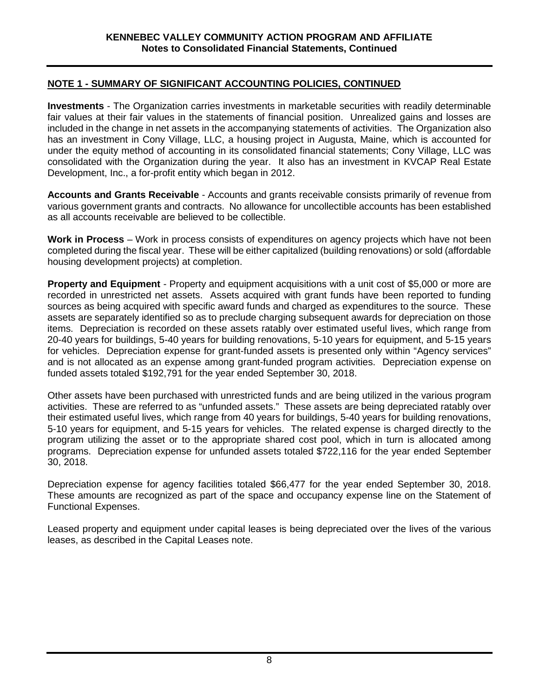# **NOTE 1 - SUMMARY OF SIGNIFICANT ACCOUNTING POLICIES, CONTINUED**

**Investments** - The Organization carries investments in marketable securities with readily determinable fair values at their fair values in the statements of financial position. Unrealized gains and losses are included in the change in net assets in the accompanying statements of activities. The Organization also has an investment in Cony Village, LLC, a housing project in Augusta, Maine, which is accounted for under the equity method of accounting in its consolidated financial statements; Cony Village, LLC was consolidated with the Organization during the year. It also has an investment in KVCAP Real Estate Development, Inc., a for-profit entity which began in 2012.

**Accounts and Grants Receivable** - Accounts and grants receivable consists primarily of revenue from various government grants and contracts. No allowance for uncollectible accounts has been established as all accounts receivable are believed to be collectible.

**Work in Process** – Work in process consists of expenditures on agency projects which have not been completed during the fiscal year. These will be either capitalized (building renovations) or sold (affordable housing development projects) at completion.

**Property and Equipment** - Property and equipment acquisitions with a unit cost of \$5,000 or more are recorded in unrestricted net assets. Assets acquired with grant funds have been reported to funding sources as being acquired with specific award funds and charged as expenditures to the source. These assets are separately identified so as to preclude charging subsequent awards for depreciation on those items. Depreciation is recorded on these assets ratably over estimated useful lives, which range from 20-40 years for buildings, 5-40 years for building renovations, 5-10 years for equipment, and 5-15 years for vehicles. Depreciation expense for grant-funded assets is presented only within "Agency services" and is not allocated as an expense among grant-funded program activities. Depreciation expense on funded assets totaled \$192,791 for the year ended September 30, 2018.

Other assets have been purchased with unrestricted funds and are being utilized in the various program activities. These are referred to as "unfunded assets." These assets are being depreciated ratably over their estimated useful lives, which range from 40 years for buildings, 5-40 years for building renovations, 5-10 years for equipment, and 5-15 years for vehicles. The related expense is charged directly to the program utilizing the asset or to the appropriate shared cost pool, which in turn is allocated among programs. Depreciation expense for unfunded assets totaled \$722,116 for the year ended September 30, 2018.

Depreciation expense for agency facilities totaled \$66,477 for the year ended September 30, 2018. These amounts are recognized as part of the space and occupancy expense line on the Statement of Functional Expenses.

Leased property and equipment under capital leases is being depreciated over the lives of the various leases, as described in the Capital Leases note.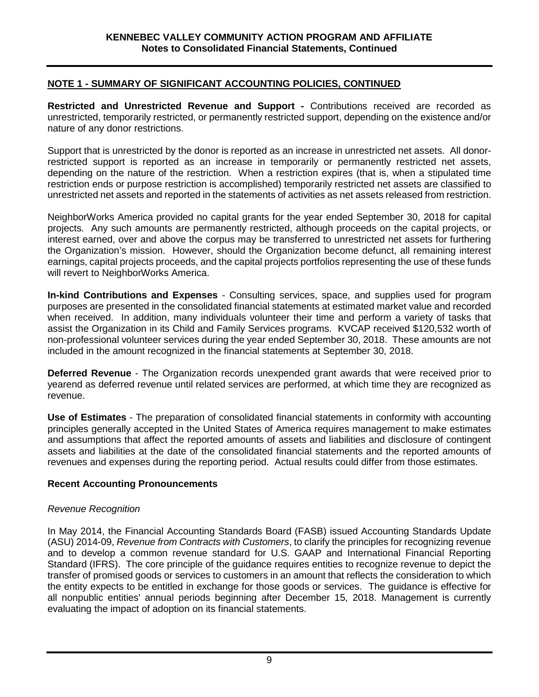# **NOTE 1 - SUMMARY OF SIGNIFICANT ACCOUNTING POLICIES, CONTINUED**

**Restricted and Unrestricted Revenue and Support -** Contributions received are recorded as unrestricted, temporarily restricted, or permanently restricted support, depending on the existence and/or nature of any donor restrictions.

Support that is unrestricted by the donor is reported as an increase in unrestricted net assets. All donorrestricted support is reported as an increase in temporarily or permanently restricted net assets, depending on the nature of the restriction. When a restriction expires (that is, when a stipulated time restriction ends or purpose restriction is accomplished) temporarily restricted net assets are classified to unrestricted net assets and reported in the statements of activities as net assets released from restriction.

NeighborWorks America provided no capital grants for the year ended September 30, 2018 for capital projects. Any such amounts are permanently restricted, although proceeds on the capital projects, or interest earned, over and above the corpus may be transferred to unrestricted net assets for furthering the Organization's mission. However, should the Organization become defunct, all remaining interest earnings, capital projects proceeds, and the capital projects portfolios representing the use of these funds will revert to NeighborWorks America.

**In-kind Contributions and Expenses** - Consulting services, space, and supplies used for program purposes are presented in the consolidated financial statements at estimated market value and recorded when received. In addition, many individuals volunteer their time and perform a variety of tasks that assist the Organization in its Child and Family Services programs. KVCAP received \$120,532 worth of non-professional volunteer services during the year ended September 30, 2018. These amounts are not included in the amount recognized in the financial statements at September 30, 2018.

**Deferred Revenue** - The Organization records unexpended grant awards that were received prior to yearend as deferred revenue until related services are performed, at which time they are recognized as revenue.

**Use of Estimates** - The preparation of consolidated financial statements in conformity with accounting principles generally accepted in the United States of America requires management to make estimates and assumptions that affect the reported amounts of assets and liabilities and disclosure of contingent assets and liabilities at the date of the consolidated financial statements and the reported amounts of revenues and expenses during the reporting period. Actual results could differ from those estimates.

## **Recent Accounting Pronouncements**

## *Revenue Recognition*

In May 2014, the Financial Accounting Standards Board (FASB) issued Accounting Standards Update (ASU) 2014-09, *Revenue from Contracts with Customers*, to clarify the principles for recognizing revenue and to develop a common revenue standard for U.S. GAAP and International Financial Reporting Standard (IFRS). The core principle of the guidance requires entities to recognize revenue to depict the transfer of promised goods or services to customers in an amount that reflects the consideration to which the entity expects to be entitled in exchange for those goods or services. The guidance is effective for all nonpublic entities' annual periods beginning after December 15, 2018. Management is currently evaluating the impact of adoption on its financial statements.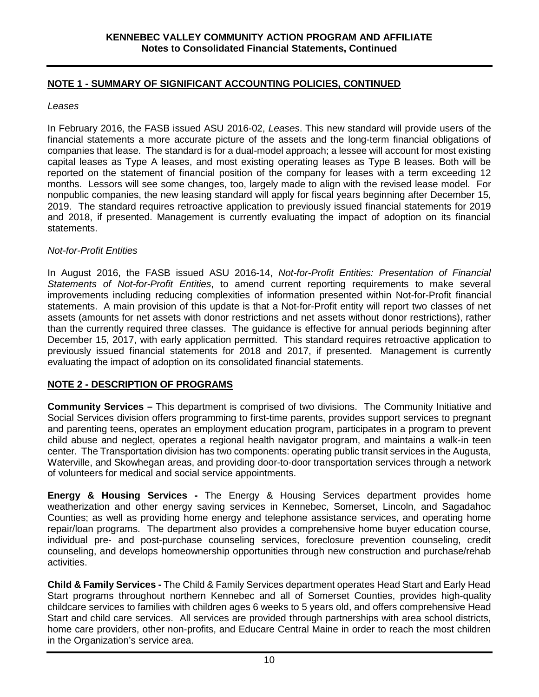# **NOTE 1 - SUMMARY OF SIGNIFICANT ACCOUNTING POLICIES, CONTINUED**

#### *Leases*

In February 2016, the FASB issued ASU 2016-02, *Leases*. This new standard will provide users of the financial statements a more accurate picture of the assets and the long-term financial obligations of companies that lease. The standard is for a dual-model approach; a lessee will account for most existing capital leases as Type A leases, and most existing operating leases as Type B leases. Both will be reported on the statement of financial position of the company for leases with a term exceeding 12 months. Lessors will see some changes, too, largely made to align with the revised lease model. For nonpublic companies, the new leasing standard will apply for fiscal years beginning after December 15, 2019. The standard requires retroactive application to previously issued financial statements for 2019 and 2018, if presented. Management is currently evaluating the impact of adoption on its financial statements.

## *Not-for-Profit Entities*

In August 2016, the FASB issued ASU 2016-14, *Not-for-Profit Entities: Presentation of Financial Statements of Not-for-Profit Entities*, to amend current reporting requirements to make several improvements including reducing complexities of information presented within Not-for-Profit financial statements. A main provision of this update is that a Not-for-Profit entity will report two classes of net assets (amounts for net assets with donor restrictions and net assets without donor restrictions), rather than the currently required three classes. The guidance is effective for annual periods beginning after December 15, 2017, with early application permitted. This standard requires retroactive application to previously issued financial statements for 2018 and 2017, if presented. Management is currently evaluating the impact of adoption on its consolidated financial statements.

## **NOTE 2 - DESCRIPTION OF PROGRAMS**

**Community Services –** This department is comprised of two divisions. The Community Initiative and Social Services division offers programming to first-time parents, provides support services to pregnant and parenting teens, operates an employment education program, participates in a program to prevent child abuse and neglect, operates a regional health navigator program, and maintains a walk-in teen center. The Transportation division has two components: operating public transit services in the Augusta, Waterville, and Skowhegan areas, and providing door-to-door transportation services through a network of volunteers for medical and social service appointments.

**Energy & Housing Services -** The Energy & Housing Services department provides home weatherization and other energy saving services in Kennebec, Somerset, Lincoln, and Sagadahoc Counties; as well as providing home energy and telephone assistance services, and operating home repair/loan programs. The department also provides a comprehensive home buyer education course, individual pre- and post-purchase counseling services, foreclosure prevention counseling, credit counseling, and develops homeownership opportunities through new construction and purchase/rehab activities.

**Child & Family Services -** The Child & Family Services department operates Head Start and Early Head Start programs throughout northern Kennebec and all of Somerset Counties, provides high-quality childcare services to families with children ages 6 weeks to 5 years old, and offers comprehensive Head Start and child care services. All services are provided through partnerships with area school districts, home care providers, other non-profits, and Educare Central Maine in order to reach the most children in the Organization's service area.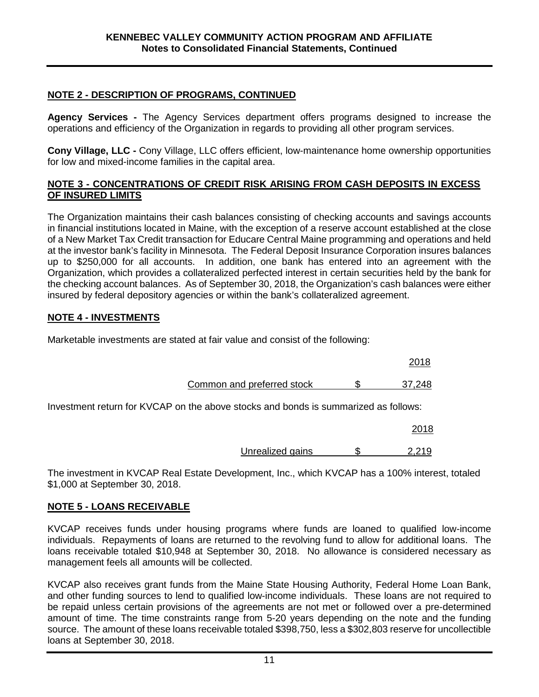## **NOTE 2 - DESCRIPTION OF PROGRAMS, CONTINUED**

**Agency Services -** The Agency Services department offers programs designed to increase the operations and efficiency of the Organization in regards to providing all other program services.

**Cony Village, LLC -** Cony Village, LLC offers efficient, low-maintenance home ownership opportunities for low and mixed-income families in the capital area.

#### **NOTE 3 - CONCENTRATIONS OF CREDIT RISK ARISING FROM CASH DEPOSITS IN EXCESS OF INSURED LIMITS**

The Organization maintains their cash balances consisting of checking accounts and savings accounts in financial institutions located in Maine, with the exception of a reserve account established at the close of a New Market Tax Credit transaction for Educare Central Maine programming and operations and held at the investor bank's facility in Minnesota. The Federal Deposit Insurance Corporation insures balances up to \$250,000 for all accounts. In addition, one bank has entered into an agreement with the Organization, which provides a collateralized perfected interest in certain securities held by the bank for the checking account balances. As of September 30, 2018, the Organization's cash balances were either insured by federal depository agencies or within the bank's collateralized agreement.

## **NOTE 4 - INVESTMENTS**

Marketable investments are stated at fair value and consist of the following:

|                            | 2018   |
|----------------------------|--------|
| Common and preferred stock | 37,248 |

Investment return for KVCAP on the above stocks and bonds is summarized as follows:

|                  | 2018  |
|------------------|-------|
| Unrealized gains | 2,219 |

The investment in KVCAP Real Estate Development, Inc., which KVCAP has a 100% interest, totaled \$1,000 at September 30, 2018.

## **NOTE 5 - LOANS RECEIVABLE**

KVCAP receives funds under housing programs where funds are loaned to qualified low-income individuals. Repayments of loans are returned to the revolving fund to allow for additional loans. The loans receivable totaled \$10,948 at September 30, 2018. No allowance is considered necessary as management feels all amounts will be collected.

KVCAP also receives grant funds from the Maine State Housing Authority, Federal Home Loan Bank, and other funding sources to lend to qualified low-income individuals. These loans are not required to be repaid unless certain provisions of the agreements are not met or followed over a pre-determined amount of time. The time constraints range from 5-20 years depending on the note and the funding source. The amount of these loans receivable totaled \$398,750, less a \$302,803 reserve for uncollectible loans at September 30, 2018.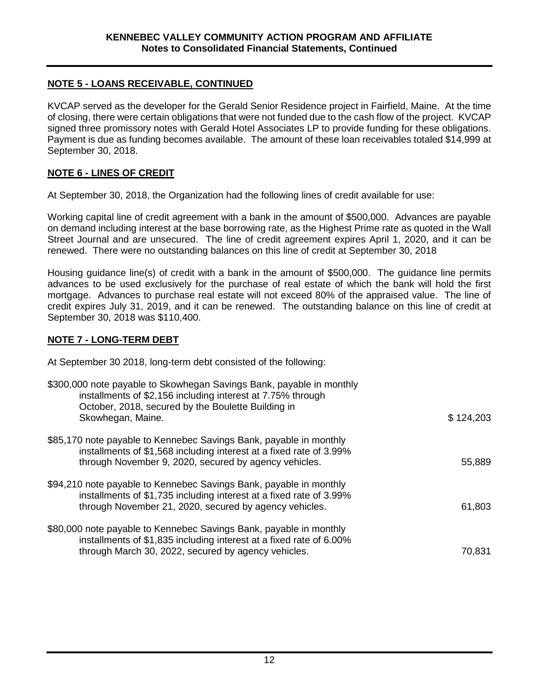## **NOTE 5 - LOANS RECEIVABLE, CONTINUED**

KVCAP served as the developer for the Gerald Senior Residence project in Fairfield, Maine. At the time of closing, there were certain obligations that were not funded due to the cash flow of the project. KVCAP signed three promissory notes with Gerald Hotel Associates LP to provide funding for these obligations. Payment is due as funding becomes available. The amount of these loan receivables totaled \$14,999 at September 30, 2018.

#### **NOTE 6 - LINES OF CREDIT**

At September 30, 2018, the Organization had the following lines of credit available for use:

Working capital line of credit agreement with a bank in the amount of \$500,000. Advances are payable on demand including interest at the base borrowing rate, as the Highest Prime rate as quoted in the Wall Street Journal and are unsecured. The line of credit agreement expires April 1, 2020, and it can be renewed. There were no outstanding balances on this line of credit at September 30, 2018

Housing guidance line(s) of credit with a bank in the amount of \$500,000. The guidance line permits advances to be used exclusively for the purchase of real estate of which the bank will hold the first mortgage. Advances to purchase real estate will not exceed 80% of the appraised value. The line of credit expires July 31, 2019, and it can be renewed. The outstanding balance on this line of credit at September 30, 2018 was \$110,400.

#### **NOTE 7 - LONG-TERM DEBT**

At September 30 2018, long-term debt consisted of the following:

| \$300,000 note payable to Skowhegan Savings Bank, payable in monthly<br>installments of \$2,156 including interest at 7.75% through<br>October, 2018, secured by the Boulette Building in          |           |
|----------------------------------------------------------------------------------------------------------------------------------------------------------------------------------------------------|-----------|
| Skowhegan, Maine.                                                                                                                                                                                  | \$124,203 |
| \$85,170 note payable to Kennebec Savings Bank, payable in monthly<br>installments of \$1,568 including interest at a fixed rate of 3.99%<br>through November 9, 2020, secured by agency vehicles. | 55,889    |
|                                                                                                                                                                                                    |           |
| \$94,210 note payable to Kennebec Savings Bank, payable in monthly<br>installments of \$1,735 including interest at a fixed rate of 3.99%                                                          |           |
| through November 21, 2020, secured by agency vehicles.                                                                                                                                             | 61,803    |
| \$80,000 note payable to Kennebec Savings Bank, payable in monthly<br>installments of \$1,835 including interest at a fixed rate of 6.00%                                                          |           |
| through March 30, 2022, secured by agency vehicles.                                                                                                                                                | 70,831    |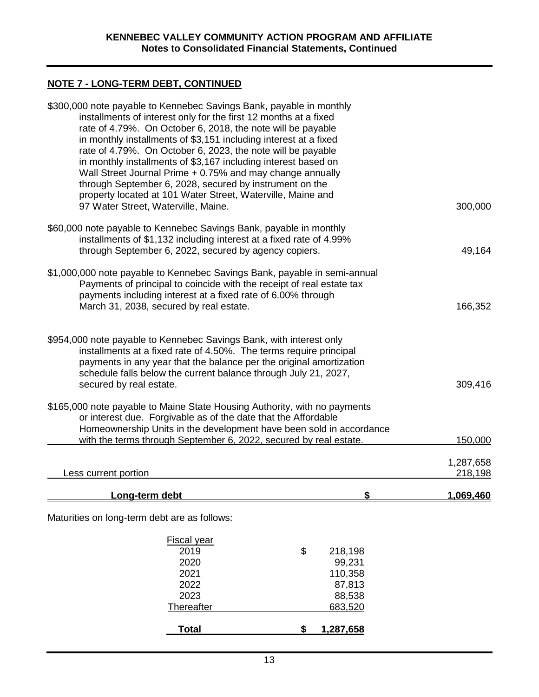# **NOTE 7 - LONG-TERM DEBT, CONTINUED**

| \$300,000 note payable to Kennebec Savings Bank, payable in monthly<br>installments of interest only for the first 12 months at a fixed<br>rate of 4.79%. On October 6, 2018, the note will be payable<br>in monthly installments of \$3,151 including interest at a fixed<br>rate of 4.79%. On October 6, 2023, the note will be payable<br>in monthly installments of \$3,167 including interest based on<br>Wall Street Journal Prime + 0.75% and may change annually<br>through September 6, 2028, secured by instrument on the<br>property located at 101 Water Street, Waterville, Maine and<br>97 Water Street, Waterville, Maine. | 300,000              |
|-------------------------------------------------------------------------------------------------------------------------------------------------------------------------------------------------------------------------------------------------------------------------------------------------------------------------------------------------------------------------------------------------------------------------------------------------------------------------------------------------------------------------------------------------------------------------------------------------------------------------------------------|----------------------|
| \$60,000 note payable to Kennebec Savings Bank, payable in monthly<br>installments of \$1,132 including interest at a fixed rate of 4.99%<br>through September 6, 2022, secured by agency copiers.                                                                                                                                                                                                                                                                                                                                                                                                                                        | 49,164               |
| \$1,000,000 note payable to Kennebec Savings Bank, payable in semi-annual<br>Payments of principal to coincide with the receipt of real estate tax<br>payments including interest at a fixed rate of 6.00% through<br>March 31, 2038, secured by real estate.                                                                                                                                                                                                                                                                                                                                                                             | 166,352              |
| \$954,000 note payable to Kennebec Savings Bank, with interest only<br>installments at a fixed rate of 4.50%. The terms require principal<br>payments in any year that the balance per the original amortization<br>schedule falls below the current balance through July 21, 2027,<br>secured by real estate.                                                                                                                                                                                                                                                                                                                            | 309,416              |
| \$165,000 note payable to Maine State Housing Authority, with no payments<br>or interest due. Forgivable as of the date that the Affordable<br>Homeownership Units in the development have been sold in accordance<br>with the terms through September 6, 2022, secured by real estate.                                                                                                                                                                                                                                                                                                                                                   | 150,000              |
| Less current portion                                                                                                                                                                                                                                                                                                                                                                                                                                                                                                                                                                                                                      | 1,287,658<br>218,198 |
| Long-term debt                                                                                                                                                                                                                                                                                                                                                                                                                                                                                                                                                                                                                            | 1,069,460            |
| Maturities on long-term debt are as follows:                                                                                                                                                                                                                                                                                                                                                                                                                                                                                                                                                                                              |                      |
| Fiscal year<br>\$<br>218,198<br>2019                                                                                                                                                                                                                                                                                                                                                                                                                                                                                                                                                                                                      |                      |

| Total             | 1,287,658 |
|-------------------|-----------|
| <b>Thereafter</b> | 683,520   |
| 2023              | 88,538    |
| 2022              | 87,813    |
| 2021              | 110,358   |
| 2020              | 99,231    |
| 2019              | 218,198   |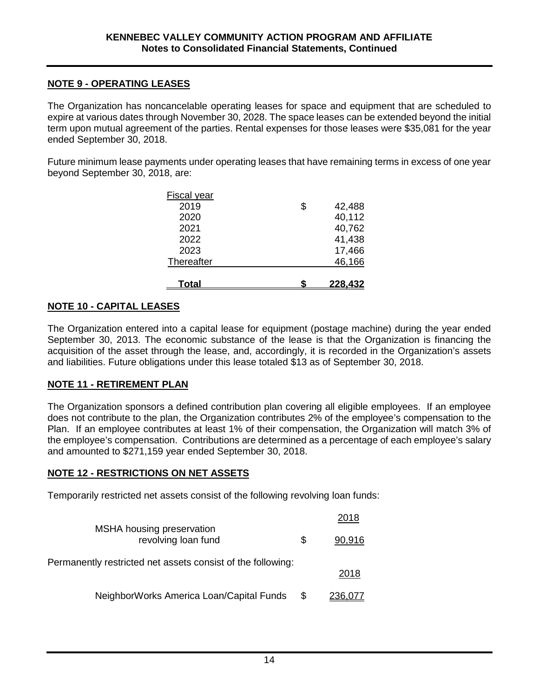#### **NOTE 9 - OPERATING LEASES**

The Organization has noncancelable operating leases for space and equipment that are scheduled to expire at various dates through November 30, 2028. The space leases can be extended beyond the initial term upon mutual agreement of the parties. Rental expenses for those leases were \$35,081 for the year ended September 30, 2018.

Future minimum lease payments under operating leases that have remaining terms in excess of one year beyond September 30, 2018, are:

| Total       | 228,432      |
|-------------|--------------|
| Thereafter  | 46,166       |
| 2023        | 17,466       |
| 2022        | 41,438       |
| 2021        | 40,762       |
| 2020        | 40,112       |
| 2019        | \$<br>42,488 |
| Fiscal year |              |

## **NOTE 10 - CAPITAL LEASES**

The Organization entered into a capital lease for equipment (postage machine) during the year ended September 30, 2013. The economic substance of the lease is that the Organization is financing the acquisition of the asset through the lease, and, accordingly, it is recorded in the Organization's assets and liabilities. Future obligations under this lease totaled \$13 as of September 30, 2018.

#### **NOTE 11 - RETIREMENT PLAN**

The Organization sponsors a defined contribution plan covering all eligible employees. If an employee does not contribute to the plan, the Organization contributes 2% of the employee's compensation to the Plan. If an employee contributes at least 1% of their compensation, the Organization will match 3% of the employee's compensation. Contributions are determined as a percentage of each employee's salary and amounted to \$271,159 year ended September 30, 2018.

#### **NOTE 12 - RESTRICTIONS ON NET ASSETS**

Temporarily restricted net assets consist of the following revolving loan funds:

|                                                             |     | 2018          |
|-------------------------------------------------------------|-----|---------------|
| MSHA housing preservation<br>revolving loan fund            | \$  | <u>90,916</u> |
| Permanently restricted net assets consist of the following: |     | 2018          |
| NeighborWorks America Loan/Capital Funds                    | -SS | 236.077       |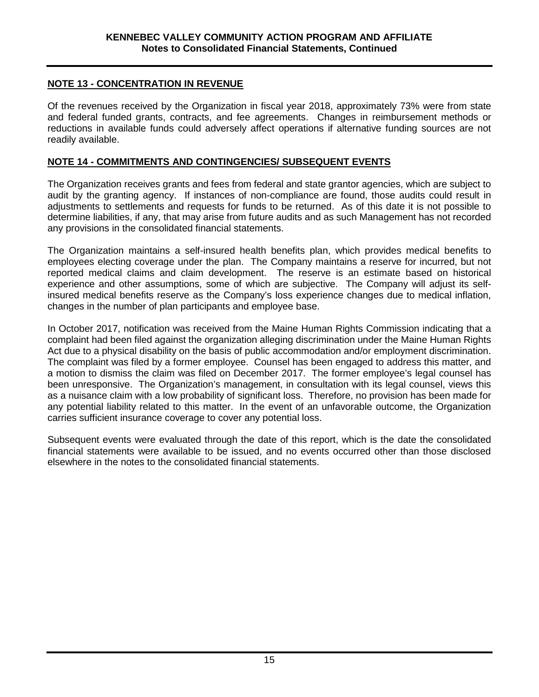# **NOTE 13 - CONCENTRATION IN REVENUE**

Of the revenues received by the Organization in fiscal year 2018, approximately 73% were from state and federal funded grants, contracts, and fee agreements. Changes in reimbursement methods or reductions in available funds could adversely affect operations if alternative funding sources are not readily available.

# **NOTE 14 - COMMITMENTS AND CONTINGENCIES/ SUBSEQUENT EVENTS**

The Organization receives grants and fees from federal and state grantor agencies, which are subject to audit by the granting agency. If instances of non-compliance are found, those audits could result in adjustments to settlements and requests for funds to be returned. As of this date it is not possible to determine liabilities, if any, that may arise from future audits and as such Management has not recorded any provisions in the consolidated financial statements.

The Organization maintains a self-insured health benefits plan, which provides medical benefits to employees electing coverage under the plan. The Company maintains a reserve for incurred, but not reported medical claims and claim development. The reserve is an estimate based on historical experience and other assumptions, some of which are subjective. The Company will adjust its selfinsured medical benefits reserve as the Company's loss experience changes due to medical inflation, changes in the number of plan participants and employee base.

In October 2017, notification was received from the Maine Human Rights Commission indicating that a complaint had been filed against the organization alleging discrimination under the Maine Human Rights Act due to a physical disability on the basis of public accommodation and/or employment discrimination. The complaint was filed by a former employee. Counsel has been engaged to address this matter, and a motion to dismiss the claim was filed on December 2017. The former employee's legal counsel has been unresponsive. The Organization's management, in consultation with its legal counsel, views this as a nuisance claim with a low probability of significant loss. Therefore, no provision has been made for any potential liability related to this matter. In the event of an unfavorable outcome, the Organization carries sufficient insurance coverage to cover any potential loss.

Subsequent events were evaluated through the date of this report, which is the date the consolidated financial statements were available to be issued, and no events occurred other than those disclosed elsewhere in the notes to the consolidated financial statements.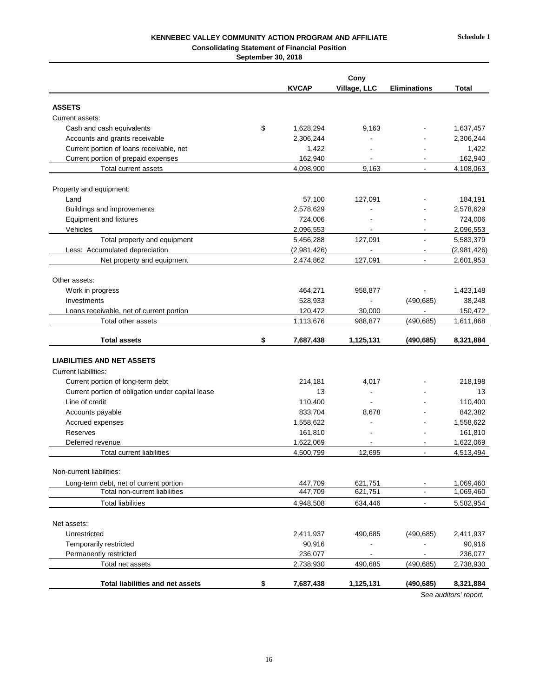#### **KENNEBEC VALLEY COMMUNITY ACTION PROGRAM AND AFFILIATE Consolidating Statement of Financial Position**

**September 30, 2018**

|                                                   | <b>KVCAP</b>      | <b>Eliminations</b> | Total          |                      |
|---------------------------------------------------|-------------------|---------------------|----------------|----------------------|
|                                                   |                   | Village, LLC        |                |                      |
| <b>ASSETS</b>                                     |                   |                     |                |                      |
| Current assets:                                   |                   |                     |                |                      |
| Cash and cash equivalents                         | \$<br>1,628,294   | 9,163               |                | 1,637,457            |
| Accounts and grants receivable                    | 2,306,244         |                     |                | 2,306,244            |
| Current portion of loans receivable, net          | 1,422             |                     |                | 1,422                |
| Current portion of prepaid expenses               | 162,940           |                     |                | 162,940              |
| Total current assets                              | 4,098,900         | 9,163               |                | 4,108,063            |
| Property and equipment:                           |                   |                     |                |                      |
| Land                                              | 57,100            | 127,091             |                | 184,191              |
| Buildings and improvements                        | 2,578,629         |                     |                | 2,578,629            |
| Equipment and fixtures                            | 724,006           |                     |                | 724,006              |
| Vehicles                                          | 2,096,553         |                     |                | 2,096,553            |
| Total property and equipment                      | 5,456,288         | 127,091             | $\blacksquare$ | 5,583,379            |
| Less: Accumulated depreciation                    | (2,981,426)       |                     | $\blacksquare$ | (2,981,426)          |
| Net property and equipment                        | 2,474,862         | 127,091             | $\blacksquare$ | 2,601,953            |
| Other assets:                                     |                   |                     |                |                      |
| Work in progress                                  | 464,271           | 958,877             |                | 1,423,148            |
| Investments                                       | 528,933           | $\overline{a}$      | (490, 685)     | 38,248               |
| Loans receivable, net of current portion          | 120,472           | 30,000              |                | 150,472              |
| Total other assets                                | 1,113,676         | 988,877             | (490, 685)     | 1,611,868            |
| <b>Total assets</b>                               | \$<br>7,687,438   | 1,125,131           | (490, 685)     | 8,321,884            |
| <b>LIABILITIES AND NET ASSETS</b>                 |                   |                     |                |                      |
| <b>Current liabilities:</b>                       |                   |                     |                |                      |
| Current portion of long-term debt                 | 214,181           | 4,017               |                | 218,198              |
| Current portion of obligation under capital lease | 13                |                     |                | 13                   |
| Line of credit                                    | 110,400           |                     |                | 110,400              |
| Accounts payable                                  | 833,704           | 8,678               |                | 842,382              |
| Accrued expenses                                  | 1,558,622         |                     |                | 1,558,622            |
| Reserves                                          | 161,810           |                     |                | 161,810              |
| Deferred revenue                                  | 1,622,069         |                     |                | 1,622,069            |
| Total current liabilities                         | 4,500,799         | 12,695              | $\blacksquare$ | 4,513,494            |
| Non-current liabilities:                          |                   |                     |                |                      |
| Long-term debt, net of current portion            | 447,709           | 621,751             |                | 1,069,460            |
| Total non-current liabilities                     | 447,709           | 621,751             |                | 1,069,460            |
| <b>Total liabilities</b>                          | 4,948,508         | 634,446             | $\blacksquare$ | 5,582,954            |
|                                                   |                   |                     |                |                      |
| Net assets:<br>Unrestricted                       |                   |                     | (490, 685)     |                      |
|                                                   | 2,411,937         | 490,685             |                | 2,411,937            |
| Temporarily restricted<br>Permanently restricted  | 90,916<br>236,077 |                     |                | 90,916               |
| Total net assets                                  | 2,738,930         | 490,685             | (490, 685)     | 236,077<br>2,738,930 |
|                                                   |                   |                     |                |                      |
| <b>Total liabilities and net assets</b>           | \$<br>7,687,438   | 1,125,131           | (490, 685)     | 8,321,884            |

*See auditors' report.*

**Schedule 1**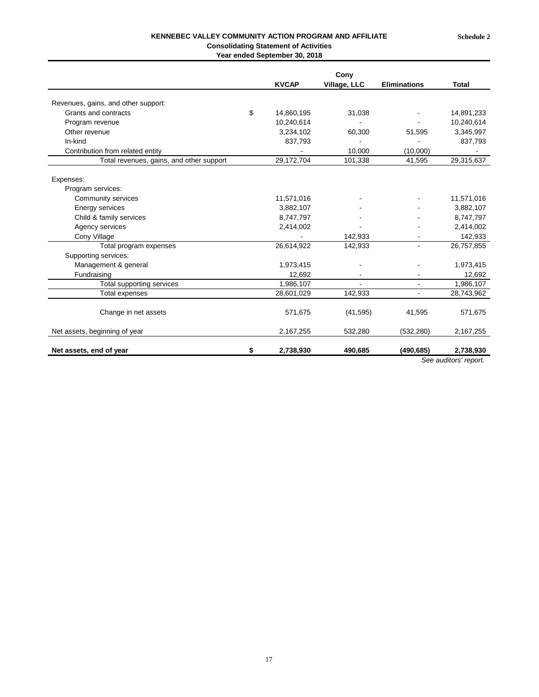#### **KENNEBEC VALLEY COMMUNITY ACTION PROGRAM AND AFFILIATE Consolidating Statement of Activities Year ended September 30, 2018**

|                                          | <b>KVCAP</b>     | Cony<br>Village, LLC | <b>Eliminations</b> | <b>Total</b>                      |
|------------------------------------------|------------------|----------------------|---------------------|-----------------------------------|
| Revenues, gains, and other support:      |                  |                      |                     |                                   |
| Grants and contracts                     | \$<br>14,860,195 | 31,038               |                     | 14,891,233                        |
| Program revenue                          | 10,240,614       |                      |                     | 10,240,614                        |
| Other revenue                            | 3,234,102        | 60,300               | 51,595              | 3,345,997                         |
| In-kind                                  | 837,793          |                      |                     | 837,793                           |
| Contribution from related entity         |                  | 10,000               | (10,000)            |                                   |
| Total revenues, gains, and other support | 29,172,704       | 101,338              | 41,595              | 29,315,637                        |
|                                          |                  |                      |                     |                                   |
| Expenses:                                |                  |                      |                     |                                   |
| Program services:                        |                  |                      |                     |                                   |
| Community services                       | 11,571,016       |                      |                     | 11,571,016                        |
| Energy services                          | 3,882,107        |                      |                     | 3,882,107                         |
| Child & family services                  | 8,747,797        |                      |                     | 8,747,797                         |
| Agency services                          | 2,414,002        |                      |                     | 2,414,002                         |
| Cony Village                             |                  | 142,933              |                     | 142,933                           |
| Total program expenses                   | 26,614,922       | 142,933              |                     | 26,757,855                        |
| Supporting services:                     |                  |                      |                     |                                   |
| Management & general                     | 1,973,415        |                      |                     | 1,973,415                         |
| Fundraising                              | 12,692           |                      |                     | 12,692                            |
| Total supporting services                | 1,986,107        | $\sim$               |                     | 1,986,107                         |
| Total expenses                           | 28,601,029       | 142,933              |                     | 28,743,962                        |
|                                          |                  |                      |                     |                                   |
| Change in net assets                     | 571,675          | (41, 595)            | 41,595              | 571,675                           |
| Net assets, beginning of year            | 2,167,255        | 532,280              | (532, 280)          | 2,167,255                         |
| Net assets, end of year                  | \$<br>2,738,930  | 490,685              | (490, 685)          | 2,738,930<br>Con ouditoral ronard |

*See auditors' report.*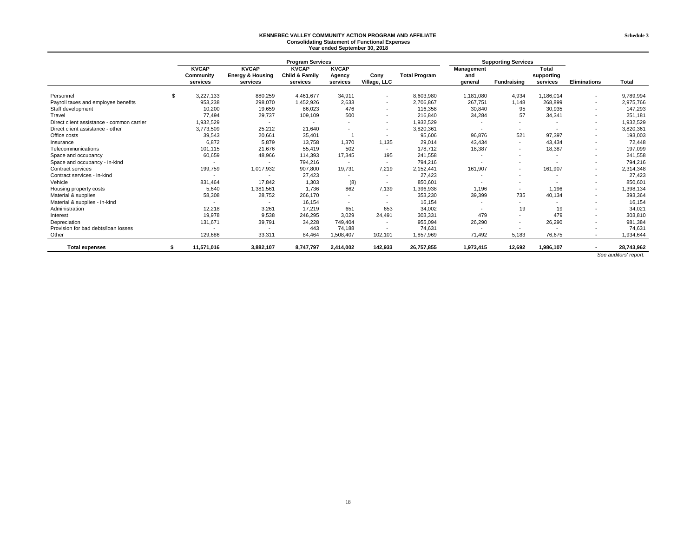#### **KENNEBEC VALLEY COMMUNITY ACTION PROGRAM AND AFFILIATE Consolidating Statement of Functional Expenses Year ended September 30, 2018**

|                                           |    | <b>Program Services</b>   |                                             |                                           |                          |                          |                      | <b>Supporting Services</b> |                          |                            |                          |                       |
|-------------------------------------------|----|---------------------------|---------------------------------------------|-------------------------------------------|--------------------------|--------------------------|----------------------|----------------------------|--------------------------|----------------------------|--------------------------|-----------------------|
|                                           |    | <b>KVCAP</b><br>Community | <b>KVCAP</b><br><b>Energy &amp; Housing</b> | <b>KVCAP</b><br><b>Child &amp; Family</b> | <b>KVCAP</b><br>Agency   | Cony                     | <b>Total Program</b> | Management<br>and          |                          | <b>Total</b><br>supporting |                          |                       |
|                                           |    | services                  | services                                    | services                                  | services                 | Village, LLC             |                      | general                    | <b>Fundraising</b>       | services                   | <b>Eliminations</b>      | Total                 |
| Personnel                                 | \$ | 3.227.133                 | 880.259                                     | 4.461.677                                 | 34.911                   | $\overline{\phantom{a}}$ | 8,603,980            | 1.181.080                  | 4.934                    | .186.014                   | $\overline{\phantom{a}}$ | 9,789,994             |
| Payroll taxes and employee benefits       |    | 953,238                   | 298,070                                     | 1,452,926                                 | 2,633                    | $\overline{a}$           | 2,706,867            | 267,751                    | 1,148                    | 268,899                    | $\overline{\phantom{a}}$ | 2,975,766             |
| Staff development                         |    | 10,200                    | 19,659                                      | 86,023                                    | 476                      | $\overline{\phantom{a}}$ | 116,358              | 30,840                     | 95                       | 30,935                     | $\overline{\phantom{a}}$ | 147,293               |
| Travel                                    |    | 77,494                    | 29,737                                      | 109,109                                   | 500                      | $\overline{\phantom{a}}$ | 216,840              | 34,284                     | 57                       | 34,341                     | $\overline{\phantom{a}}$ | 251,181               |
| Direct client assistance - common carrier |    | 1,932,529                 |                                             |                                           | $\overline{\phantom{a}}$ | $\overline{\phantom{a}}$ | 1,932,529            |                            |                          |                            | $\overline{\phantom{a}}$ | 1,932,529             |
| Direct client assistance - other          |    | 3,773,509                 | 25,212                                      | 21.640                                    | $\overline{\phantom{a}}$ | $\overline{\phantom{a}}$ | 3,820,361            |                            |                          |                            | $\overline{\phantom{a}}$ | 3,820,361             |
| Office costs                              |    | 39,543                    | 20,661                                      | 35.401                                    |                          | $\overline{\phantom{a}}$ | 95,606               | 96,876                     | 521                      | 97.397                     | $\overline{\phantom{a}}$ | 193,003               |
| Insurance                                 |    | 6,872                     | 5,879                                       | 13,758                                    | 1.370                    | 1,135                    | 29,014               | 43,434                     | $\overline{\phantom{a}}$ | 43.434                     | $\overline{\phantom{a}}$ | 72,448                |
| Telecommunications                        |    | 101,115                   | 21,676                                      | 55.419                                    | 502                      |                          | 178,712              | 18,387                     | $\overline{\phantom{a}}$ | 18,387                     | $\overline{\phantom{a}}$ | 197,099               |
| Space and occupancy                       |    | 60,659                    | 48,966                                      | 114,393                                   | 17.345                   | 195                      | 241,558              |                            | $\overline{\phantom{a}}$ |                            | $\overline{\phantom{a}}$ | 241,558               |
| Space and occupancy - in-kind             |    |                           |                                             | 794,216                                   | $\overline{\phantom{a}}$ | $\overline{\phantom{a}}$ | 794,216              |                            |                          |                            | $\overline{\phantom{a}}$ | 794,216               |
| Contract services                         |    | 199,759                   | 1,017,932                                   | 907,800                                   | 19.731                   | 7,219                    | 2,152,441            | 161,907                    | $\overline{\phantom{a}}$ | 161,907                    | $\overline{\phantom{a}}$ | 2,314,348             |
| Contract services - in-kind               |    |                           |                                             | 27.423                                    | $\overline{\phantom{a}}$ | $\overline{\phantom{a}}$ | 27.423               |                            | $\overline{\phantom{0}}$ |                            | $\overline{\phantom{a}}$ | 27,423                |
| Vehicle                                   |    | 831,464                   | 17,842                                      | 1,303                                     | (8)                      |                          | 850,601              |                            | $\overline{\phantom{a}}$ |                            | $\overline{\phantom{a}}$ | 850,601               |
| Housing property costs                    |    | 5,640                     | 1,381,561                                   | 1.736                                     | 862                      | 7,139                    | 1,396,938            | 1,196                      | $\overline{\phantom{a}}$ | 1,196                      | $\overline{\phantom{a}}$ | 1,398,134             |
| Material & supplies                       |    | 58,308                    | 28,752                                      | 266,170                                   | $\overline{\phantom{a}}$ | $\overline{\phantom{a}}$ | 353,230              | 39,399                     | 735                      | 40,134                     | $\overline{\phantom{a}}$ | 393,364               |
| Material & supplies - in-kind             |    |                           |                                             | 16.154                                    | $\overline{\phantom{a}}$ | $\overline{\phantom{a}}$ | 16,154               |                            |                          |                            | $\overline{\phantom{a}}$ | 16,154                |
| Administration                            |    | 12,218                    | 3.261                                       | 17.219                                    | 651                      | 653                      | 34,002               |                            | 19                       | 19                         | $\overline{\phantom{a}}$ | 34,021                |
| Interest                                  |    | 19,978                    | 9,538                                       | 246,295                                   | 3.029                    | 24,491                   | 303,331              | 479                        |                          | 479                        | $\overline{\phantom{a}}$ | 303,810               |
| Depreciation                              |    | 131,671                   | 39,791                                      | 34,228                                    | 749,404                  | $\overline{\phantom{a}}$ | 955,094              | 26,290                     | $\overline{\phantom{a}}$ | 26,290                     | $\overline{\phantom{a}}$ | 981,384               |
| Provision for bad debts/loan losses       |    |                           |                                             | 443                                       | 74,188                   |                          | 74,631               |                            |                          |                            | ٠                        | 74,631                |
| Other                                     |    | 129,686                   | 33,311                                      | 84,464                                    | .508.407                 | 102.101                  | 1,857,969            | 71,492                     | 5.183                    | 76.675                     | $\overline{\phantom{a}}$ | .934,644              |
| <b>Total expenses</b>                     | S  | 11,571,016                | 3,882,107                                   | 8.747.797                                 | 2.414.002                | 142.933                  | 26,757,855           | 1,973,415                  | 12.692                   | 1,986,107                  | $\overline{\phantom{a}}$ | 28,743,962            |
|                                           |    |                           |                                             |                                           |                          |                          |                      |                            |                          |                            |                          | See auditors' report. |